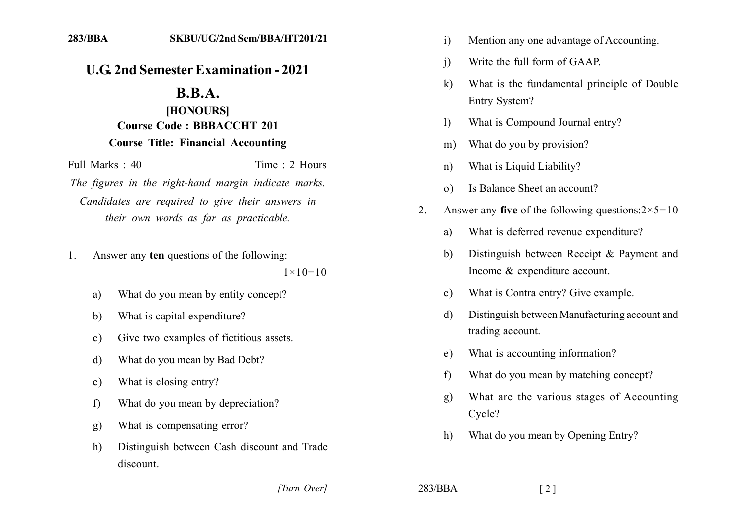## **U.G. 2nd Semester Examination - 2021**

## $B.B.A.$

## [HONOURS] **Course Code: BBBACCHT 201 Course Title: Financial Accounting**

Full Marks  $\cdot$  40 Time  $\cdot$  2 Hours

The figures in the right-hand margin indicate marks. Candidates are required to give their answers in their own words as far as practicable.

Answer any ten questions of the following:  $\mathbf{1}$ 

 $1 \times 10 = 10$ 

- What do you mean by entity concept? a)
- What is capital expenditure?  $h$
- Give two examples of fictitious assets.  $c)$
- What do you mean by Bad Debt? d)
- What is closing entry?  $e)$
- What do you mean by depreciation?  $f$
- What is compensating error? g)
- Distinguish between Cash discount and Trade  $h)$ discount.
- Mention any one advantage of Accounting.  $\mathbf{i}$
- Write the full form of GAAP.  $\overline{1}$
- What is the fundamental principle of Double  $\bf k$ Entry System?
- What is Compound Journal entry?  $\left| \right\rangle$
- What do you by provision?  $m)$
- What is Liquid Liability?  $n)$
- Is Balance Sheet an account?  $\Omega$
- Answer any five of the following questions: $2 \times 5 = 10$  $2^{\circ}$ 
	- What is deferred revenue expenditure? a)
	- Distinguish between Receipt & Payment and b) Income & expenditure account.
	- What is Contra entry? Give example.  $c)$
	- Distinguish between Manufacturing account and d) trading account.
	- What is accounting information?  $e)$
	- What do you mean by matching concept?  $f$
	- What are the various stages of Accounting  $g)$ Cycle?
	- What do you mean by Opening Entry?  $h)$

[Turn Over]

 $283/BBA$ 

 $\lceil 2 \rceil$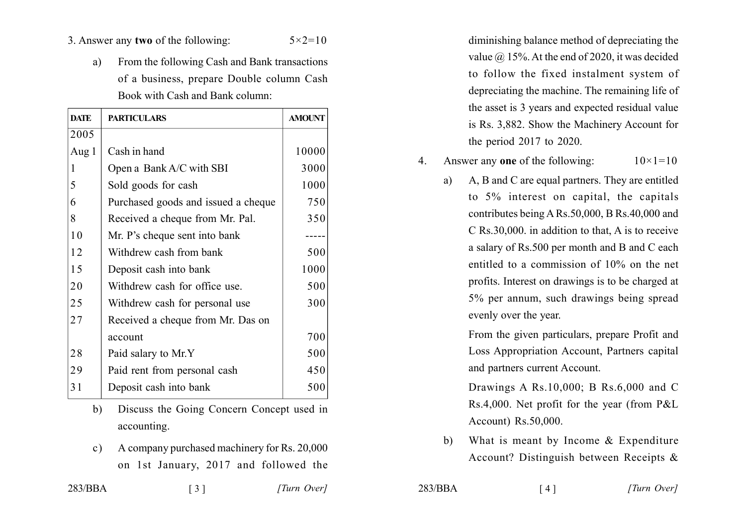## 3. Answer any two of the following:  $5 \times 2 = 10$

From the following Cash and Bank transactions a) of a business, prepare Double column Cash Book with Cash and Bank column:

| <b>DATE</b> | <b>PARTICULARS</b>                  | <b>AMOUNT</b> |
|-------------|-------------------------------------|---------------|
| 2005        |                                     |               |
| Aug $1$     | Cash in hand                        | 10000         |
| 1           | Open a Bank A/C with SBI            | 3000          |
| 5           | Sold goods for cash                 | 1000          |
| 6           | Purchased goods and issued a cheque | 750           |
| 8           | Received a cheque from Mr. Pal.     | 350           |
| 10          | Mr. P's cheque sent into bank       |               |
| 12          | Withdrew cash from bank             | 500           |
| 15          | Deposit cash into bank              | 1000          |
| 20          | Withdrew cash for office use.       | 500           |
| 25          | Withdrew cash for personal use      | 300           |
| 27          | Received a cheque from Mr. Das on   |               |
|             | account                             | 700           |
| 28          | Paid salary to Mr.Y                 | 500           |
| 29          | Paid rent from personal cash        | 450           |
| 31          | Deposit cash into bank              | 500           |

- Discuss the Going Concern Concept used in  $h$ accounting.
- A company purchased machinery for Rs. 20,000  $c)$ on 1st January, 2017 and followed the

 $\lceil 3 \rceil$ 

diminishing balance method of depreciating the value  $\omega$  15%. At the end of 2020, it was decided to follow the fixed instalment system of depreciating the machine. The remaining life of the asset is 3 years and expected residual value is Rs. 3,882. Show the Machinery Account for the period  $2017$  to  $2020$ .

Answer any one of the following:  $10 \times 1 = 10$  $\overline{4}$ .

A, B and C are equal partners. They are entitled a) to 5% interest on capital, the capitals contributes being A Rs. 50,000, B Rs. 40,000 and C Rs.30,000. in addition to that, A is to receive a salary of Rs.500 per month and B and C each entitled to a commission of 10% on the net profits. Interest on drawings is to be charged at 5% per annum, such drawings being spread evenly over the year.

> From the given particulars, prepare Profit and Loss Appropriation Account, Partners capital and partners current Account.

> Drawings A Rs.10,000; B Rs.6,000 and C Rs.4,000. Net profit for the year (from P&L) Account) Rs.50,000.

What is meant by Income  $&$  Expenditure  $b)$ Account? Distinguish between Receipts &

 $283/BBA$